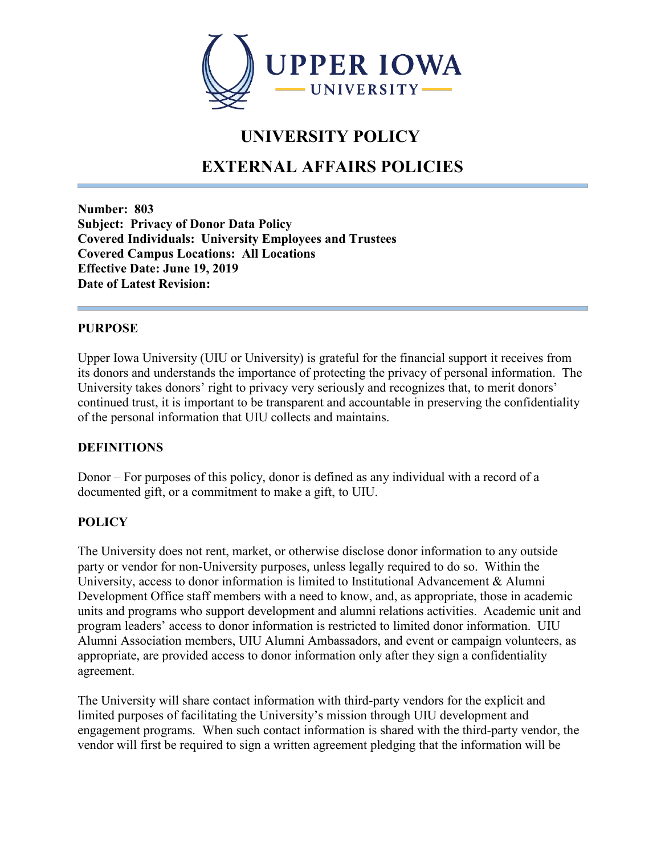

## **UNIVERSITY POLICY**

# **EXTERNAL AFFAIRS POLICIES**

**Number: 803 Subject: Privacy of Donor Data Policy Covered Individuals: University Employees and Trustees Covered Campus Locations: All Locations Effective Date: June 19, 2019 Date of Latest Revision:**

### **PURPOSE**

Upper Iowa University (UIU or University) is grateful for the financial support it receives from its donors and understands the importance of protecting the privacy of personal information. The University takes donors' right to privacy very seriously and recognizes that, to merit donors' continued trust, it is important to be transparent and accountable in preserving the confidentiality of the personal information that UIU collects and maintains.

## **DEFINITIONS**

Donor – For purposes of this policy, donor is defined as any individual with a record of a documented gift, or a commitment to make a gift, to UIU.

#### **POLICY**

The University does not rent, market, or otherwise disclose donor information to any outside party or vendor for non-University purposes, unless legally required to do so. Within the University, access to donor information is limited to Institutional Advancement & Alumni Development Office staff members with a need to know, and, as appropriate, those in academic units and programs who support development and alumni relations activities. Academic unit and program leaders' access to donor information is restricted to limited donor information. UIU Alumni Association members, UIU Alumni Ambassadors, and event or campaign volunteers, as appropriate, are provided access to donor information only after they sign a confidentiality agreement.

The University will share contact information with third-party vendors for the explicit and limited purposes of facilitating the University's mission through UIU development and engagement programs. When such contact information is shared with the third-party vendor, the vendor will first be required to sign a written agreement pledging that the information will be